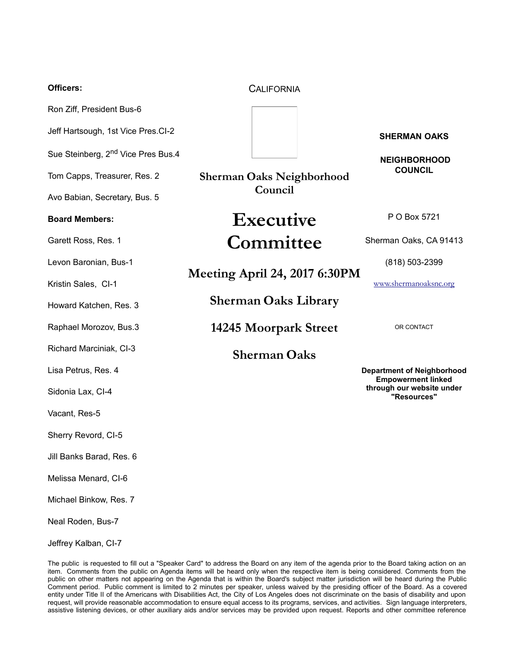| <b>Officers:</b>                               | <b>CALIFORNIA</b>                |                                                                |
|------------------------------------------------|----------------------------------|----------------------------------------------------------------|
| Ron Ziff, President Bus-6                      |                                  |                                                                |
| Jeff Hartsough, 1st Vice Pres.CI-2             |                                  | <b>SHERMAN OAKS</b>                                            |
| Sue Steinberg, 2 <sup>nd</sup> Vice Pres Bus.4 |                                  | <b>NEIGHBORHOOD</b>                                            |
| Tom Capps, Treasurer, Res. 2                   | <b>Sherman Oaks Neighborhood</b> | <b>COUNCIL</b>                                                 |
| Avo Babian, Secretary, Bus. 5                  | Council                          |                                                                |
| <b>Board Members:</b>                          | Executive                        | P O Box 5721                                                   |
| Garett Ross, Res. 1                            | Committee                        | Sherman Oaks, CA 91413                                         |
| Levon Baronian, Bus-1                          | Meeting April 24, 2017 6:30PM    | (818) 503-2399                                                 |
| Kristin Sales, CI-1                            |                                  | www.shermanoaksnc.org                                          |
| Howard Katchen, Res. 3                         | <b>Sherman Oaks Library</b>      |                                                                |
| Raphael Morozov, Bus.3                         | 14245 Moorpark Street            | OR CONTACT                                                     |
| Richard Marciniak, CI-3                        | <b>Sherman Oaks</b>              |                                                                |
| Lisa Petrus, Res. 4                            |                                  | <b>Department of Neighborhood</b><br><b>Empowerment linked</b> |
| Sidonia Lax, Cl-4                              |                                  | through our website under<br>"Resources"                       |
| Vacant, Res-5                                  |                                  |                                                                |
| Sherry Revord, CI-5                            |                                  |                                                                |
| Jill Banks Barad, Res. 6                       |                                  |                                                                |
| Melissa Menard, CI-6                           |                                  |                                                                |
| Michael Binkow, Res. 7                         |                                  |                                                                |
| Neal Roden, Bus-7                              |                                  |                                                                |

The public is requested to fill out a "Speaker Card" to address the Board on any item of the agenda prior to the Board taking action on an item. Comments from the public on Agenda items will be heard only when the respective item is being considered. Comments from the public on other matters not appearing on the Agenda that is within the Board's subject matter jurisdiction will be heard during the Public Comment period. Public comment is limited to 2 minutes per speaker, unless waived by the presiding officer of the Board. As a covered entity under Title II of the Americans with Disabilities Act, the City of Los Angeles does not discriminate on the basis of disability and upon request, will provide reasonable accommodation to ensure equal access to its programs, services, and activities. Sign language interpreters, assistive listening devices, or other auxiliary aids and/or services may be provided upon request. Reports and other committee reference

Jeffrey Kalban, CI-7